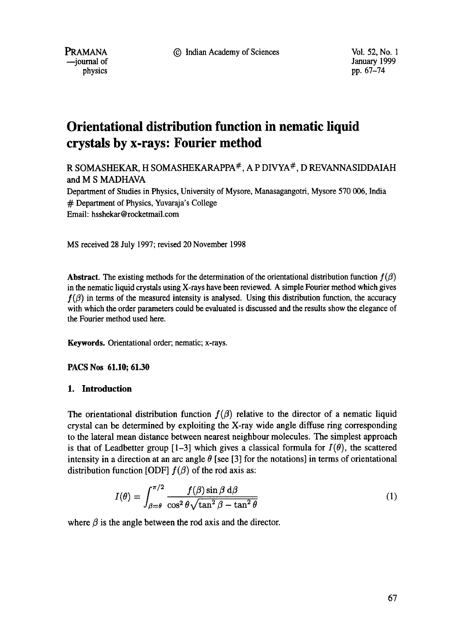9 Indian Academy of Sciences Vol. 52, No. 1

PRAMANA --journal of physics

January 1999 pp. 67-74

# **Orientational distribution function in nematic liquid crystals by x-rays: Fourier method**

R SOMASHEKAR, H SOMASHEKARAPPA<sup>#</sup>, A P DIVYA<sup>#</sup>, D REVANNASIDDAIAH and M S MADHAVA Department of Studies in Physics, University of Mysore, Manasagangotri, Mysore 570 006, India # Department of Physics, Yuvaraja's College

Email: hsshekar @rocketmail.com

MS received 28 July 1997; revised 20 November 1998

**Abstract.** The existing methods for the determination of the orientational distribution function  $f(\beta)$ in the nematic liquid crystals using X-rays have been reviewed. A simple Fourier method which gives  $f(\beta)$  in terms of the measured intensity is analysed. Using this distribution function, the accuracy with which the order parameters could be evaluated is discussed and the results show the elegance of the Fourier method used here.

**Keywords.** Orientational order; nematic; x-rays.

**PACS Nos 61.10; 61.30** 

## **1. Introduction**

The orientational distribution function  $f(\beta)$  relative to the director of a nematic liquid crystal can be determined by exploiting the X-ray wide angle diffuse ring corresponding to the lateral mean distance between nearest neighbour molecules. The simplest approach is that of Leadbetter group  $[-3]$  which gives a classical formula for  $I(\theta)$ , the scattered intensity in a direction at an arc angle  $\theta$  [see [3] for the notations] in terms of orientational distribution function [ODF]  $f(\beta)$  of the rod axis as:

$$
I(\theta) = \int_{\beta=\theta}^{\pi/2} \frac{f(\beta)\sin\beta \,\mathrm{d}\beta}{\cos^2\theta\sqrt{\tan^2\beta - \tan^2\theta}}\tag{1}
$$

where  $\beta$  is the angle between the rod axis and the director.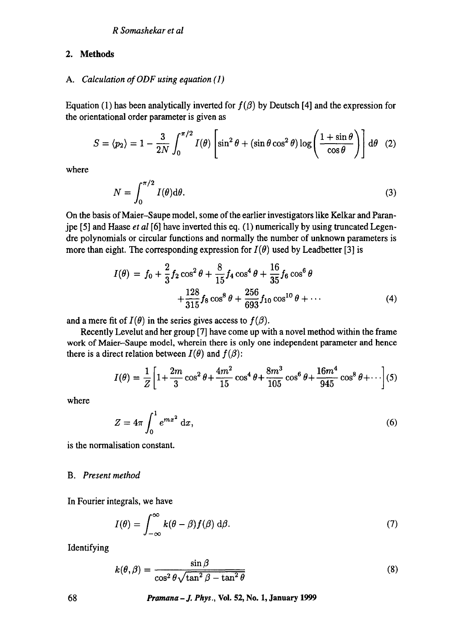# **2. Methods**

## *A. Calculation of ODF using equation (1)*

Equation (1) has been analytically inverted for  $f(\beta)$  by Deutsch [4] and the expression for the orientational order parameter is given as

$$
S = \langle p_2 \rangle = 1 - \frac{3}{2N} \int_0^{\pi/2} I(\theta) \left[ \sin^2 \theta + (\sin \theta \cos^2 \theta) \log \left( \frac{1 + \sin \theta}{\cos \theta} \right) \right] d\theta \quad (2)
$$

where

$$
N = \int_0^{\pi/2} I(\theta) \mathrm{d}\theta. \tag{3}
$$

On the basis of Maier-Saupe model, some of the earlier investigators like Kelkar and Paranjpe [5] and Haase *et al* [6] have inverted this eq. (1) numerically by using truncated Legendre polynomials or circular functions and normally the number of unknown parameters is more than eight. The corresponding expression for  $I(\theta)$  used by Leadbetter [3] is

$$
I(\theta) = f_0 + \frac{2}{3}f_2 \cos^2 \theta + \frac{8}{15}f_4 \cos^4 \theta + \frac{16}{35}f_6 \cos^6 \theta + \frac{128}{315}f_8 \cos^8 \theta + \frac{256}{693}f_{10} \cos^{10} \theta + \cdots
$$
 (4)

and a mere fit of  $I(\theta)$  in the series gives access to  $f(\beta)$ .

Recently Levelut and her group [7] have come up with a novel method within the frame work of Maier-Saupe model, wherein there is only one independent parameter and hence there is a direct relation between  $I(\theta)$  and  $f(\beta)$ :

$$
I(\theta) = \frac{1}{Z} \left[ 1 + \frac{2m}{3} \cos^2 \theta + \frac{4m^2}{15} \cos^4 \theta + \frac{8m^3}{105} \cos^6 \theta + \frac{16m^4}{945} \cos^8 \theta + \cdots \right] (5)
$$

where

$$
Z = 4\pi \int_0^1 e^{mx^2} dx,
$$
 (6)

is the normalisation constant.

## *B. Present method*

In Fourier integrals, we have

$$
I(\theta) = \int_{-\infty}^{\infty} k(\theta - \beta) f(\beta) \, d\beta. \tag{7}
$$

Identifying

$$
k(\theta, \beta) = \frac{\sin \beta}{\cos^2 \theta \sqrt{\tan^2 \beta - \tan^2 \theta}}
$$
(8)

**68** *Pramana-J. Phys.,* **Vol. 52, No. 1, January 1999**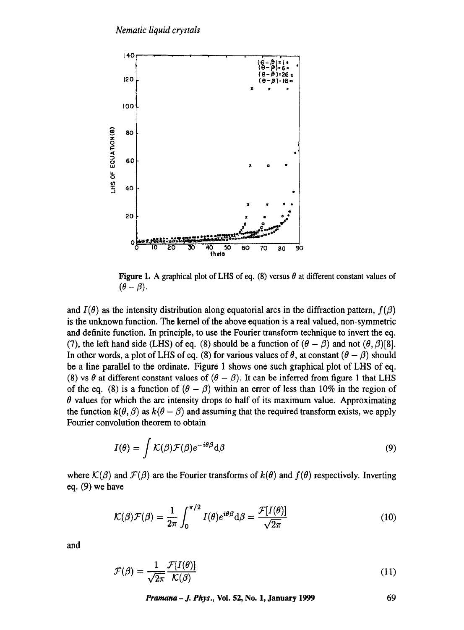

**Figure 1.** A graphical plot of LHS of eq. (8) versus  $\theta$  at different constant values of  $(\theta - \beta)$ .

and  $I(\theta)$  as the intensity distribution along equatorial arcs in the diffraction pattern,  $f(\beta)$ **is the unknown function. The kernel of the above equation is a real valued, non-symmetric and definite function. In principle, to use the Fourier transform technique to invert the eq.**  (7), the left hand side (LHS) of eq. (8) should be a function of  $(\theta - \beta)$  and not  $(\theta, \beta)$ [8]. In other words, a plot of LHS of eq. (8) for various values of  $\theta$ , at constant  $(\theta - \beta)$  should **be a line parallel to the ordinate. Figure 1 shows one such graphical plot of LHS of eq.**  (8) vs  $\theta$  at different constant values of  $(\theta - \beta)$ . It can be inferred from figure 1 that LHS of the eq. (8) is a function of  $(\theta - \beta)$  within an error of less than 10% in the region of  $\theta$  values for which the arc intensity drops to half of its maximum value. Approximating the function  $k(\theta, \beta)$  as  $k(\theta - \beta)$  and assuming that the required transform exists, we apply **Fourier convolution theorem to obtain** 

$$
I(\theta) = \int \mathcal{K}(\beta) \mathcal{F}(\beta) e^{-i\theta \beta} d\beta
$$
 (9)

where  $K(\beta)$  and  $\mathcal{F}(\beta)$  are the Fourier transforms of  $k(\theta)$  and  $f(\theta)$  respectively. Inverting **eq. (9) we have** 

$$
\mathcal{K}(\beta)\mathcal{F}(\beta) = \frac{1}{2\pi} \int_0^{\pi/2} I(\theta)e^{i\theta\beta} d\beta = \frac{\mathcal{F}[I(\theta)]}{\sqrt{2\pi}}
$$
(10)

**and** 

$$
\mathcal{F}(\beta) = \frac{1}{\sqrt{2\pi}} \frac{\mathcal{F}[I(\theta)]}{\mathcal{K}(\beta)}\tag{11}
$$

*Pramana-J. Phys.,* **Vol. 52, No. 1, January 1999 69**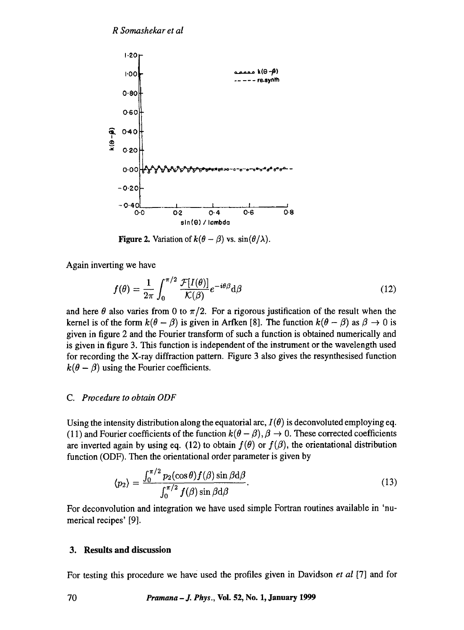

**Figure 2.** Variation of  $k(\theta - \beta)$  vs.  $\sin(\theta/\lambda)$ .

Again inverting we have

$$
f(\theta) = \frac{1}{2\pi} \int_0^{\pi/2} \frac{\mathcal{F}[I(\theta)]}{\mathcal{K}(\beta)} e^{-i\theta \beta} d\beta
$$
 (12)

and here  $\theta$  also varies from 0 to  $\pi/2$ . For a rigorous justification of the result when the kernel is of the form  $k(\theta - \beta)$  is given in Arfken [8]. The function  $k(\theta - \beta)$  as  $\beta \rightarrow 0$  is given in figure 2 and the Fourier transform of such a function is obtained numerically and is given in figure 3. This function is independent of the instrument or the wavelength used for recording the X-ray diffraction pattern. Figure 3 also gives the resynthesised function  $k(\theta - \beta)$  using the Fourier coefficients.

#### *C. Procedure to obtain ODF*

Using the intensity distribution along the equatorial arc,  $I(\theta)$  is deconvoluted employing eq. (11) and Fourier coefficients of the function  $k(\theta - \beta)$ ,  $\beta \rightarrow 0$ . These corrected coefficients are inverted again by using eq. (12) to obtain  $f(\theta)$  or  $f(\beta)$ , the orientational distribution function (ODF). Then the orientational order parameter is given by

$$
\langle p_2 \rangle = \frac{\int_0^{\pi/2} p_2(\cos \theta) f(\beta) \sin \beta \, d\beta}{\int_0^{\pi/2} f(\beta) \sin \beta \, d\beta}.
$$
 (13)

For deconvolution and integration we have used simple Fortran routines available in 'numerical recipes' [9].

## **3. Results and discussion**

For testing this procedure we have used the profiles given in Davidson *et al* [7] and for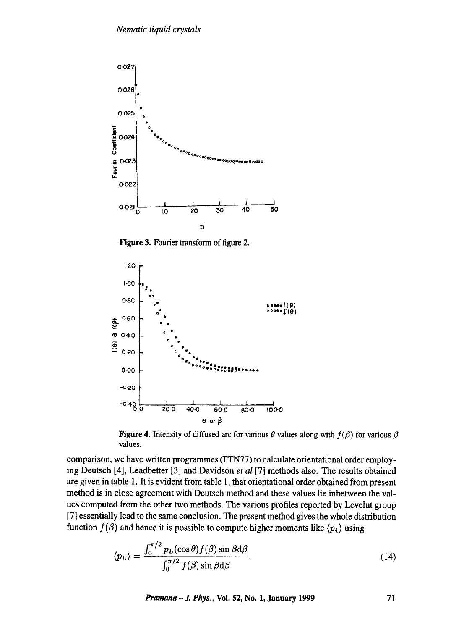

Figure 3. Fourier transform of figure 2.



Figure 4. Intensity of diffused arc for various  $\theta$  values along with  $f(\beta)$  for various  $\beta$ values.

comparison, we have written programmes (FTN77) to calculate orientational order employing Deutsch [4], Leadbetter [3] and Davidson *et al* [7] methods also. The results obtained are given in table 1. It is evident from table 1, that orientational order obtained from present method is in close agreement with Deutsch method and these values lie inbetween the values computed from the other two methods. The various profiles reported by Levelut group [7] essentially lead to the same conclusion. The present method gives the whole distribution function  $f(\beta)$  and hence it is possible to compute higher moments like  $\langle p_4 \rangle$  using

$$
\langle p_L \rangle = \frac{\int_0^{\pi/2} p_L(\cos \theta) f(\beta) \sin \beta \, d\beta}{\int_0^{\pi/2} f(\beta) \sin \beta \, d\beta}.
$$
\n(14)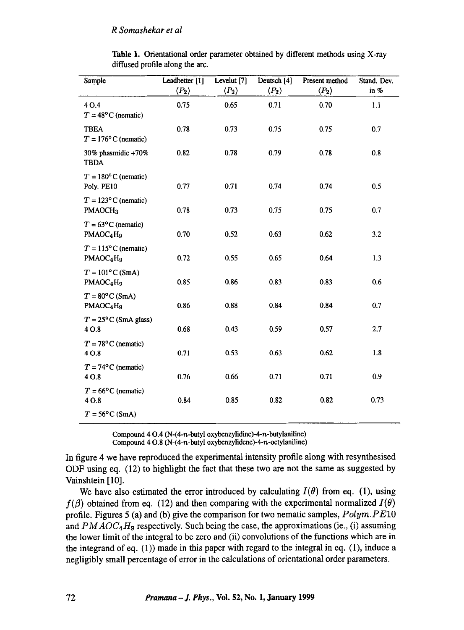| Sample                                                             | Leadbetter [1]        | Levelut [7]           | Deutsch [4]           | Present method        | Stand. Dev. |
|--------------------------------------------------------------------|-----------------------|-----------------------|-----------------------|-----------------------|-------------|
|                                                                    | $\langle P_2 \rangle$ | $\langle P_2 \rangle$ | $\langle P_2 \rangle$ | $\langle P_2 \rangle$ | in $%$      |
| 40.4<br>$T = 48^{\circ}$ C (nematic)                               | 0.75                  | 0.65                  | 0.71                  | 0.70                  | 1.1         |
| <b>TBEA</b><br>$T = 176^{\circ}$ C (nematic)                       | 0.78                  | 0.73                  | 0.75                  | 0.75                  | 0.7         |
| 30% phasmidic +70%<br><b>TBDA</b>                                  | 0.82                  | 0.78                  | 0.79                  | 0.78                  | 0.8         |
| $T = 180^{\circ}$ C (nematic)<br>Poly. PE10                        | 0.77                  | 0.71                  | 0.74                  | 0.74                  | 0.5         |
| $T = 123^{\circ}$ C (nematic)<br>PMAOCH <sub>3</sub>               | 0.78                  | 0.73                  | 0.75                  | 0.75                  | 0.7         |
| $T = 63^{\circ}$ C (nematic)<br>PMAOC <sub>4</sub> H <sub>9</sub>  | 0.70                  | 0.52                  | 0.63                  | 0.62                  | 3.2         |
| $T = 115^{\circ}$ C (nematic)<br>PMAOC <sub>4</sub> H <sub>9</sub> | 0.72                  | 0.55                  | 0.65                  | 0.64                  | 1.3         |
| $T = 101$ °C (SmA)<br>PMAOC4H9                                     | 0.85                  | 0.86                  | 0.83                  | 0.83                  | 0.6         |
| $T = 80^{\circ}$ C (SmA)<br>PMAOC4H9                               | 0.86                  | 0.88                  | 0.84                  | 0.84                  | 0.7         |
| $T = 25^{\circ}$ C (SmA glass)<br>4 O.8                            | 0.68                  | 0.43                  | 0.59                  | 0.57                  | 2.7         |
| $T = 78^{\circ}$ C (nematic)<br>4 O.8                              | 0.71                  | 0.53                  | 0.63                  | 0.62                  | 1.8         |
| $T = 74^{\circ}$ C (nematic)<br>4 O.8                              | 0.76                  | 0.66                  | 0.71                  | 0.71                  | 0.9         |
| $T = 66^{\circ}$ C (nematic)<br>4 O.8                              | 0.84                  | 0.85                  | 0.82                  | 0.82                  | 0.73        |
| $T = 56^{\circ}$ C (SmA)                                           |                       |                       |                       |                       |             |

Table 1. Orientational order parameter obtained by different methods using X-ray diffused profile along the arc.

Compound  $4 \Omega.4$  (N- $(4-n$ -butyl oxybenzylidine)-4-n-butylaniline) Compound  $4 \text{ O.8}$  (N-(4-n-butyl oxybenzylidene)-4-n-octylaniline)

In figure 4 we have reproduced the experimental intensity profile along with resynthesised ODF using eq. (12) to highlight the fact that these two are not the same as suggested by Vainshtein [ 10].

We have also estimated the error introduced by calculating  $I(\theta)$  from eq. (1), using  $f(\beta)$  obtained from eq. (12) and then comparing with the experimental normalized  $I(\theta)$ profile. Figures 5 (a) and (b) give the comparison for two nematic samples, *Polyra.PElO*  and  $PMAOC<sub>4</sub>H<sub>9</sub>$  respectively. Such being the case, the approximations (ie., (i) assuming the lower limit of the integral to be zero and (ii) convolutions of the functions which are in the integrand of eq.  $(1)$ ) made in this paper with regard to the integral in eq.  $(1)$ , induce a negligibly small percentage of error in the calculations of orientational order parameters.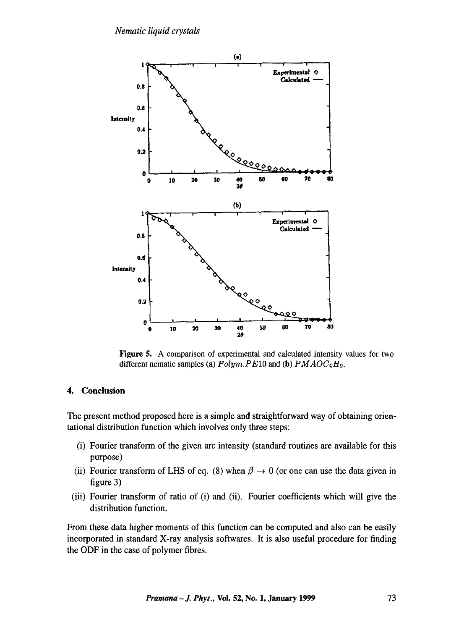

Figure 5. A comparison of experimental and calculated intensity values for two different nematic samples (a) *Polym.PElO* and (b) *PMAOC4Ho.* 

#### 4. **Conclusion**

The present method proposed here is a simple and straightforward way of obtaining orientational distribution function which involves only three steps:

- (i) Fourier transform of the given arc intensity (standard routines are available for this purpose)
- (ii) Fourier transform of LHS of eq. (8) when  $\beta \rightarrow 0$  (or one can use the data given in figure 3)
- (iii) Fourier transform of ratio of (i) and (ii). Fourier coefficients which will give the distribution function.

From these data higher moments of this function can be computed and also can be easily incorporated in standard X-ray analysis softwares. It is also useful procedure for finding the ODF in the case of polymer fibres.